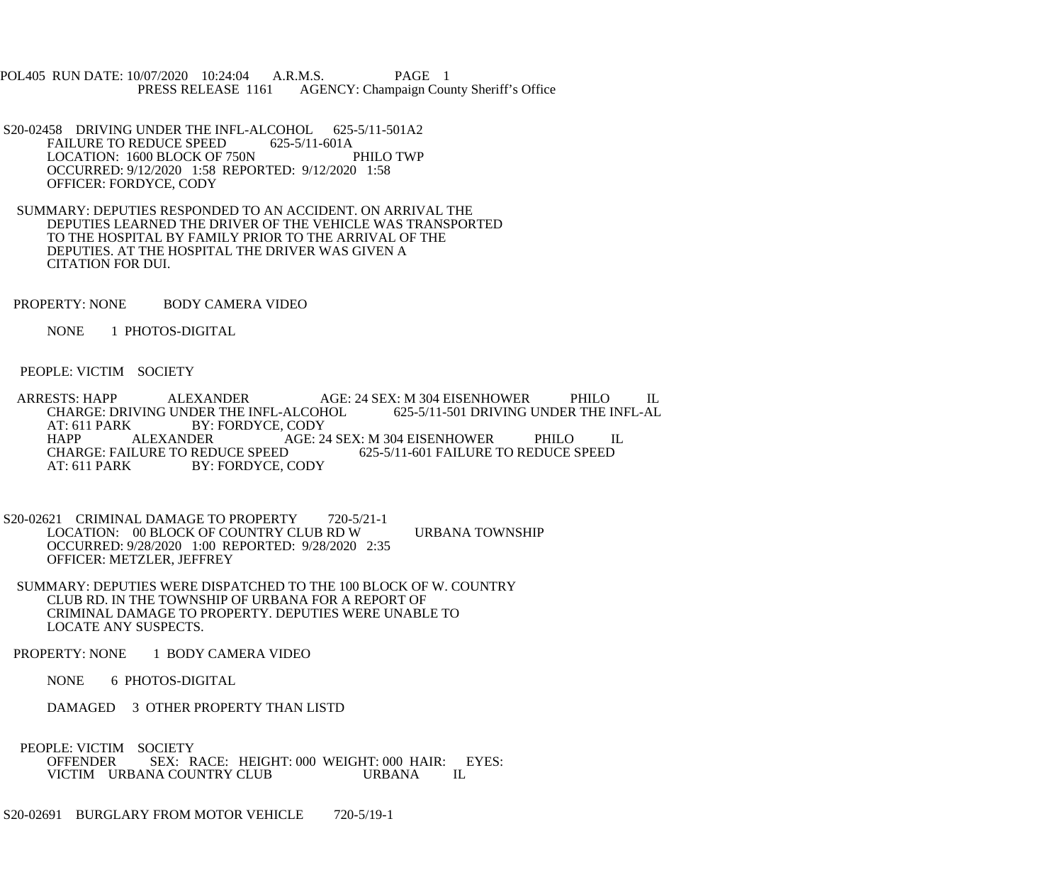POL405 RUN DATE: 10/07/2020 10:24:04 A.R.M.S. PAGE 1<br>PRESS RELEASE 1161 AGENCY: Champaign Cou AGENCY: Champaign County Sheriff's Office

- S20-02458 DRIVING UNDER THE INFL-ALCOHOL 625-5/11-501A2<br>FAILURE TO REDUCE SPEED 625-5/11-601A FAILURE TO REDUCE SPEED LOCATION: 1600 BLOCK OF 750N PHILO TWP OCCURRED: 9/12/2020 1:58 REPORTED: 9/12/2020 1:58 OFFICER: FORDYCE, CODY
- SUMMARY: DEPUTIES RESPONDED TO AN ACCIDENT. ON ARRIVAL THE DEPUTIES LEARNED THE DRIVER OF THE VEHICLE WAS TRANSPORTED TO THE HOSPITAL BY FAMILY PRIOR TO THE ARRIVAL OF THE DEPUTIES. AT THE HOSPITAL THE DRIVER WAS GIVEN A CITATION FOR DUI.
- PROPERTY: NONE BODY CAMERA VIDEO
	- NONE 1 PHOTOS-DIGITAL
- PEOPLE: VICTIM SOCIETY
- ARRESTS: HAPP ALEXANDER AGE: 24 SEX: M 304 EISENHOWER PHILO IL<br>CHARGE: DRIVING UNDER THE INFL-ALCOHOL 625-5/11-501 DRIVING UNDER THE INFL-AL CHARGE: DRIVING UNDER THE INFL-ALCOHOL<br>AT: 611 PARK BY: FORDYCE. CODY AT: 611 PARK BY: FORDYCE, CODY<br>HAPP ALEXANDER AGE: 2 HAPP ALEXANDER AGE: 24 SEX: M 304 EISENHOWER PHILO IL<br>CHARGE: FAILURE TO REDUCE SPEED 625-5/11-601 FAILURE TO REDUCE SPEED CHARGE: FAILURE TO REDUCE SPEED 625-5/11-601 FAILURE TO REDUCE SPEED AT: 611 PARK BY: FORDYCE, CODY BY: FORDYCE, CODY
- S20-02621 CRIMINAL DAMAGE TO PROPERTY 720-5/21-1 LOCATION: 00 BLOCK OF COUNTRY CLUB RD W URBANA TOWNSHIP OCCURRED: 9/28/2020 1:00 REPORTED: 9/28/2020 2:35 OFFICER: METZLER, JEFFREY
- SUMMARY: DEPUTIES WERE DISPATCHED TO THE 100 BLOCK OF W. COUNTRY CLUB RD. IN THE TOWNSHIP OF URBANA FOR A REPORT OF CRIMINAL DAMAGE TO PROPERTY. DEPUTIES WERE UNABLE TO LOCATE ANY SUSPECTS.
- PROPERTY: NONE 1 BODY CAMERA VIDEO
	- NONE 6 PHOTOS-DIGITAL
	- DAMAGED 3 OTHER PROPERTY THAN LISTD
- PEOPLE: VICTIM SOCIETY OFFENDER SEX: RACE: HEIGHT: 000 WEIGHT: 000 HAIR: EYES:<br>VICTIM URBANA COUNTRY CLUB URBANA IL VICTIM URBANA COUNTRY CLUB
- S20-02691 BURGLARY FROM MOTOR VEHICLE 720-5/19-1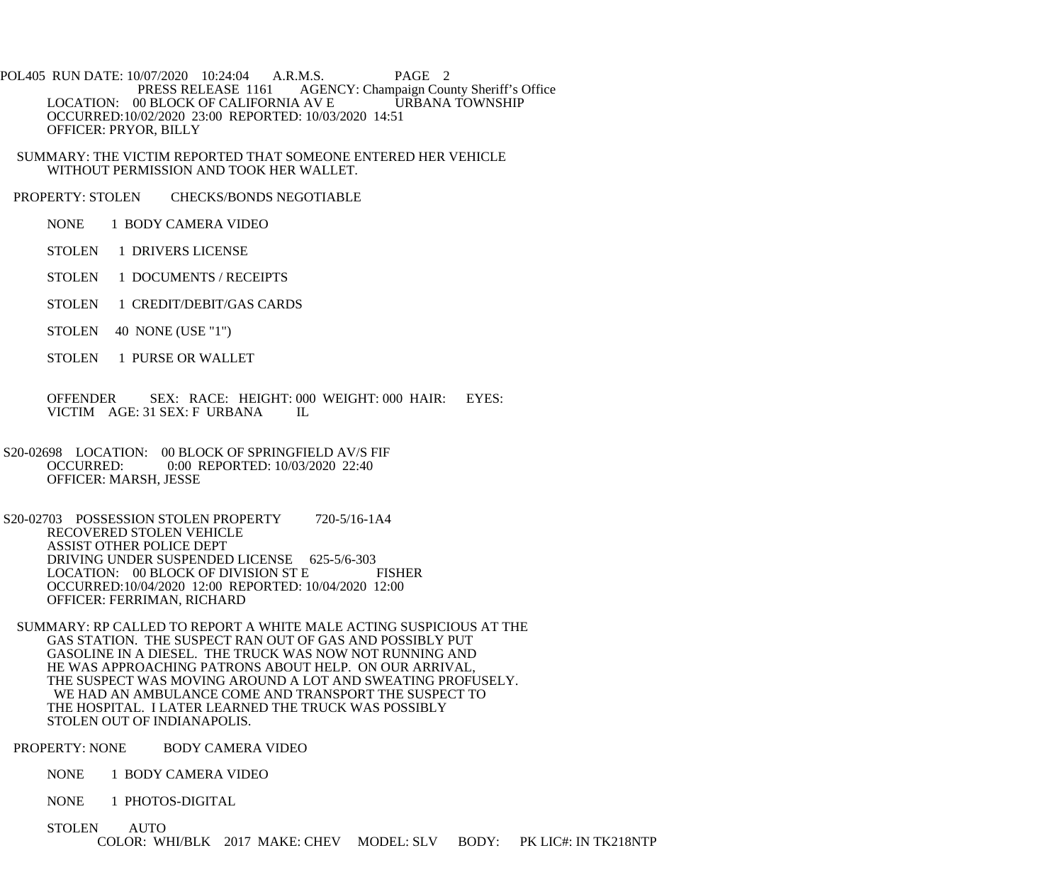POL405 RUN DATE: 10/07/2020 10:24:04 A.R.M.S. PAGE 2<br>PRESS RELEASE 1161 AGENCY: Champaign Cou AGENCY: Champaign County Sheriff's Office LOCATION: 00 BLOCK OF CALIFORNIA AV E URBANA TOWNSHIP OCCURRED:10/02/2020 23:00 REPORTED: 10/03/2020 14:51 OFFICER: PRYOR, BILLY

 SUMMARY: THE VICTIM REPORTED THAT SOMEONE ENTERED HER VEHICLE WITHOUT PERMISSION AND TOOK HER WALLET.

PROPERTY: STOLEN CHECKS/BONDS NEGOTIABLE

NONE 1 BODY CAMERA VIDEO

STOLEN 1 DRIVERS LICENSE

STOLEN 1 DOCUMENTS / RECEIPTS

STOLEN 1 CREDIT/DEBIT/GAS CARDS

STOLEN 40 NONE (USE "1")

STOLEN 1 PURSE OR WALLET

OFFENDER SEX: RACE: HEIGHT: 000 WEIGHT: 000 HAIR: EYES:<br>VICTIM AGE: 31 SEX: F URBANA IL VICTIM AGE: 31 SEX: F URBANA

S20-02698 LOCATION: 00 BLOCK OF SPRINGFIELD AV/S FIF<br>OCCURRED: 0:00 REPORTED: 10/03/2020 22:40 0:00 REPORTED: 10/03/2020 22:40 OFFICER: MARSH, JESSE

 S20-02703 POSSESSION STOLEN PROPERTY 720-5/16-1A4 RECOVERED STOLEN VEHICLE ASSIST OTHER POLICE DEPT DRIVING UNDER SUSPENDED LICENSE 625-5/6-303<br>LOCATION: 00 BLOCK OF DIVISION ST E FISHER LOCATION: 00 BLOCK OF DIVISION ST E OCCURRED:10/04/2020 12:00 REPORTED: 10/04/2020 12:00 OFFICER: FERRIMAN, RICHARD

 SUMMARY: RP CALLED TO REPORT A WHITE MALE ACTING SUSPICIOUS AT THE GAS STATION. THE SUSPECT RAN OUT OF GAS AND POSSIBLY PUT GASOLINE IN A DIESEL. THE TRUCK WAS NOW NOT RUNNING AND HE WAS APPROACHING PATRONS ABOUT HELP. ON OUR ARRIVAL, THE SUSPECT WAS MOVING AROUND A LOT AND SWEATING PROFUSELY. WE HAD AN AMBULANCE COME AND TRANSPORT THE SUSPECT TO THE HOSPITAL. I LATER LEARNED THE TRUCK WAS POSSIBLY STOLEN OUT OF INDIANAPOLIS.

PROPERTY: NONE BODY CAMERA VIDEO

NONE 1 BODY CAMERA VIDEO

NONE 1 PHOTOS-DIGITAL

 STOLEN AUTO COLOR: WHI/BLK 2017 MAKE: CHEV MODEL: SLV BODY: PK LIC#: IN TK218NTP